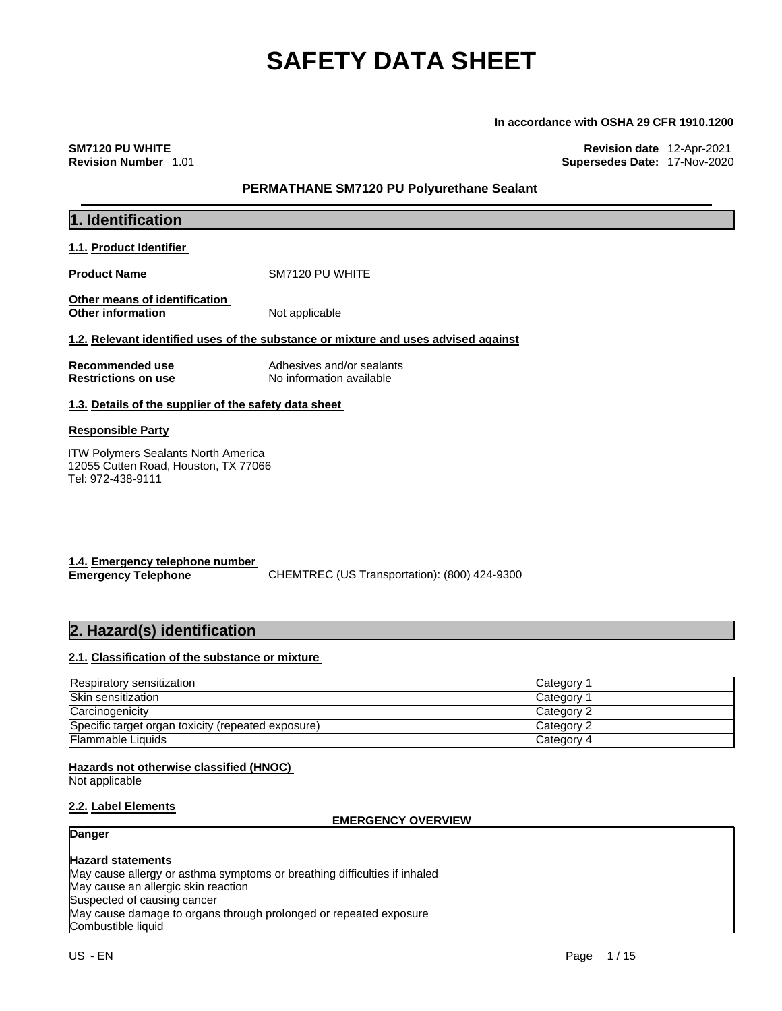#### **In accordance with OSHA 29 CFR 1910.1200**

**SM7120 PU WHITE Revision date** 12-Apr-2021 **Revision Number** 1.01 **Supersedes Date:** 17-Nov-2020

#### **PERMATHANE SM7120 PU Polyurethane Sealant**

| 1. Identification                                                                                       |                                                                                    |  |
|---------------------------------------------------------------------------------------------------------|------------------------------------------------------------------------------------|--|
| 1.1. Product Identifier                                                                                 |                                                                                    |  |
| <b>Product Name</b>                                                                                     | SM7120 PU WHITE                                                                    |  |
| <b>Other means of identification</b><br><b>Other information</b>                                        | Not applicable                                                                     |  |
|                                                                                                         | 1.2. Relevant identified uses of the substance or mixture and uses advised against |  |
| Recommended use<br><b>Restrictions on use</b>                                                           | Adhesives and/or sealants<br>No information available                              |  |
| 1.3. Details of the supplier of the safety data sheet                                                   |                                                                                    |  |
| <b>Responsible Party</b>                                                                                |                                                                                    |  |
| <b>ITW Polymers Sealants North America</b><br>12055 Cutten Road, Houston, TX 77066<br>Tel: 972-438-9111 |                                                                                    |  |

| 1.4. Emergency telephone number |                                              |
|---------------------------------|----------------------------------------------|
| <b>Emergency Telephone</b>      | CHEMTREC (US Transportation): (800) 424-9300 |

### **2. Hazard(s) identification**

#### **2.1. Classification of the substance or mixture**

| <b>Respiratory sensitization</b>                   | Category 1 |
|----------------------------------------------------|------------|
| <b>Skin sensitization</b>                          | Category 1 |
| Carcinogenicity                                    | Category 2 |
| Specific target organ toxicity (repeated exposure) | Category 2 |
| <b>Flammable Liquids</b>                           | Category 4 |

#### **Hazards not otherwise classified (HNOC)**

Not applicable

#### **2.2. Label Elements**

#### **EMERGENCY OVERVIEW**

#### **Danger**

### **Hazard statements**

May cause allergy or asthma symptoms or breathing difficulties if inhaled May cause an allergic skin reaction Suspected of causing cancer May cause damage to organs through prolonged or repeated exposure Combustible liquid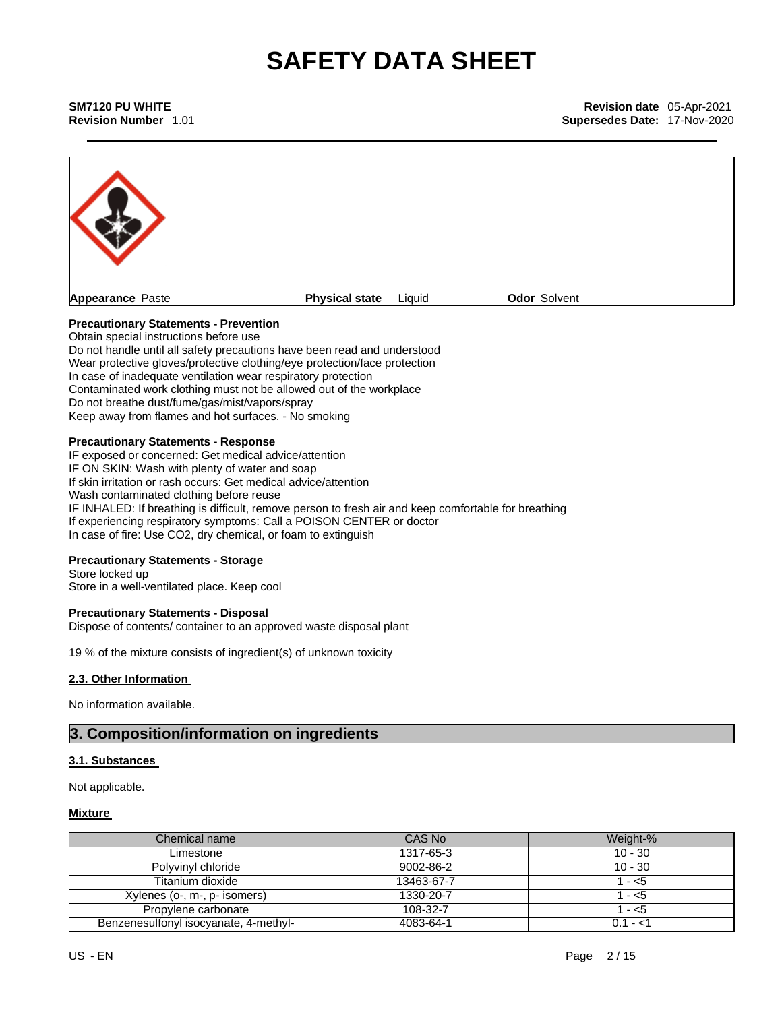**SM7120 PU WHITE Revision date** 05-Apr-2021 **Supersedes Date: 17-Nov-2020** 



#### **Precautionary Statements - Prevention**

Obtain special instructions before use Do not handle until all safety precautions have been read and understood Wear protective gloves/protective clothing/eye protection/face protection In case of inadequate ventilation wear respiratory protection Contaminated work clothing must not be allowed out of the workplace Do not breathe dust/fume/gas/mist/vapors/spray Keep away from flames and hot surfaces. - No smoking

#### **Precautionary Statements - Response**

IF exposed or concerned: Get medical advice/attention IF ON SKIN: Wash with plenty of water and soap If skin irritation or rash occurs: Get medical advice/attention Wash contaminated clothing before reuse IF INHALED: If breathing is difficult, remove person to fresh air and keep comfortable for breathing If experiencing respiratory symptoms: Call a POISON CENTER or doctor In case of fire: Use CO2, dry chemical, or foam to extinguish

#### **Precautionary Statements - Storage**

Store locked up Store in a well-ventilated place. Keep cool

#### **Precautionary Statements - Disposal**

Dispose of contents/ container to an approved waste disposal plant

19 % of the mixture consists of ingredient(s) of unknown toxicity

#### **2.3. Other Information**

No information available.

### **3. Composition/information on ingredients**

#### **3.1. Substances**

Not applicable.

#### **Mixture**

| Chemical name                         | CAS No     | Weight-%  |
|---------------------------------------|------------|-----------|
| Limestone                             | 1317-65-3  | $10 - 30$ |
| Polyvinyl chloride                    | 9002-86-2  | $10 - 30$ |
| Titanium dioxide                      | 13463-67-7 | 1 - <5    |
| Xylenes (o-, m-, p- isomers)          | 1330-20-7  | 1 - <5    |
| Propylene carbonate                   | 108-32-7   | 1 - <5    |
| Benzenesulfonyl isocyanate, 4-methyl- | 4083-64-1  | $0.1 - 1$ |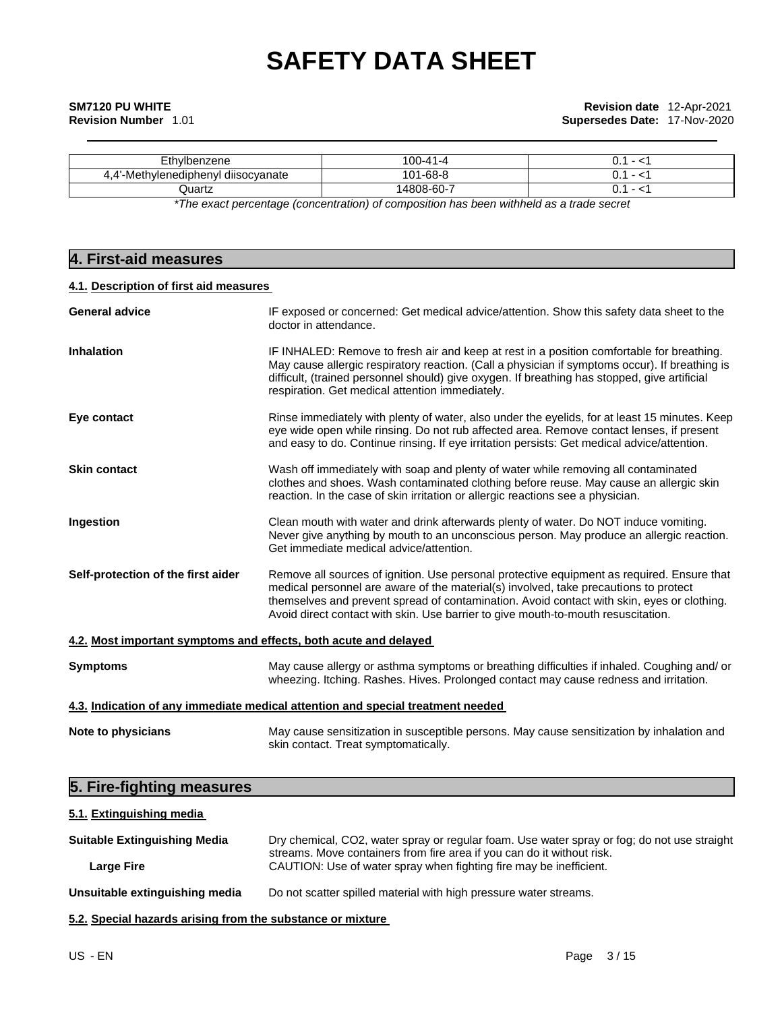| Ethylbenzene                                                                                     | 100-41-4   | - |  |
|--------------------------------------------------------------------------------------------------|------------|---|--|
|                                                                                                  |            |   |  |
| 4.4'-Methylenediphenyl diisocyanate                                                              | 101-68-8   |   |  |
|                                                                                                  |            |   |  |
| Quartz                                                                                           | 14808-60-7 |   |  |
| *The concert concentence formacing that at concertibulities have contributed as a throat concert |            |   |  |

*\*The exact percentage (concentration) of composition has been withheld as a trade secret*

### **4. First-aid measures**

#### **4.1. Description of first aid measures**

| <b>General advice</b>                                                           | IF exposed or concerned: Get medical advice/attention. Show this safety data sheet to the<br>doctor in attendance.                                                                                                                                                                                                                                                    |  |  |
|---------------------------------------------------------------------------------|-----------------------------------------------------------------------------------------------------------------------------------------------------------------------------------------------------------------------------------------------------------------------------------------------------------------------------------------------------------------------|--|--|
| <b>Inhalation</b>                                                               | IF INHALED: Remove to fresh air and keep at rest in a position comfortable for breathing.<br>May cause allergic respiratory reaction. (Call a physician if symptoms occur). If breathing is<br>difficult, (trained personnel should) give oxygen. If breathing has stopped, give artificial<br>respiration. Get medical attention immediately.                        |  |  |
| Eye contact                                                                     | Rinse immediately with plenty of water, also under the eyelids, for at least 15 minutes. Keep<br>eye wide open while rinsing. Do not rub affected area. Remove contact lenses, if present<br>and easy to do. Continue rinsing. If eye irritation persists: Get medical advice/attention.                                                                              |  |  |
| <b>Skin contact</b>                                                             | Wash off immediately with soap and plenty of water while removing all contaminated<br>clothes and shoes. Wash contaminated clothing before reuse. May cause an allergic skin<br>reaction. In the case of skin irritation or allergic reactions see a physician.                                                                                                       |  |  |
| Ingestion                                                                       | Clean mouth with water and drink afterwards plenty of water. Do NOT induce vomiting.<br>Never give anything by mouth to an unconscious person. May produce an allergic reaction.<br>Get immediate medical advice/attention.                                                                                                                                           |  |  |
| Self-protection of the first aider                                              | Remove all sources of ignition. Use personal protective equipment as required. Ensure that<br>medical personnel are aware of the material(s) involved, take precautions to protect<br>themselves and prevent spread of contamination. Avoid contact with skin, eyes or clothing.<br>Avoid direct contact with skin. Use barrier to give mouth-to-mouth resuscitation. |  |  |
| 4.2. Most important symptoms and effects, both acute and delayed                |                                                                                                                                                                                                                                                                                                                                                                       |  |  |
| <b>Symptoms</b>                                                                 | May cause allergy or asthma symptoms or breathing difficulties if inhaled. Coughing and/ or<br>wheezing. Itching. Rashes. Hives. Prolonged contact may cause redness and irritation.                                                                                                                                                                                  |  |  |
| 4.3. Indication of any immediate medical attention and special treatment needed |                                                                                                                                                                                                                                                                                                                                                                       |  |  |
| Note to physicians                                                              | May cause sensitization in susceptible persons. May cause sensitization by inhalation and<br>skin contact. Treat symptomatically.                                                                                                                                                                                                                                     |  |  |

### **5. Fire-fighting measures**

#### **5.1. Extinguishing media**

| <b>Suitable Extinguishing Media</b> | Dry chemical, CO2, water spray or regular foam. Use water spray or fog; do not use straight<br>streams. Move containers from fire area if you can do it without risk. |
|-------------------------------------|-----------------------------------------------------------------------------------------------------------------------------------------------------------------------|
| Large Fire                          | CAUTION: Use of water spray when fighting fire may be inefficient.                                                                                                    |
| Unsuitable extinguishing media      | Do not scatter spilled material with high pressure water streams.                                                                                                     |

**5.2. Special hazards arising from the substance or mixture**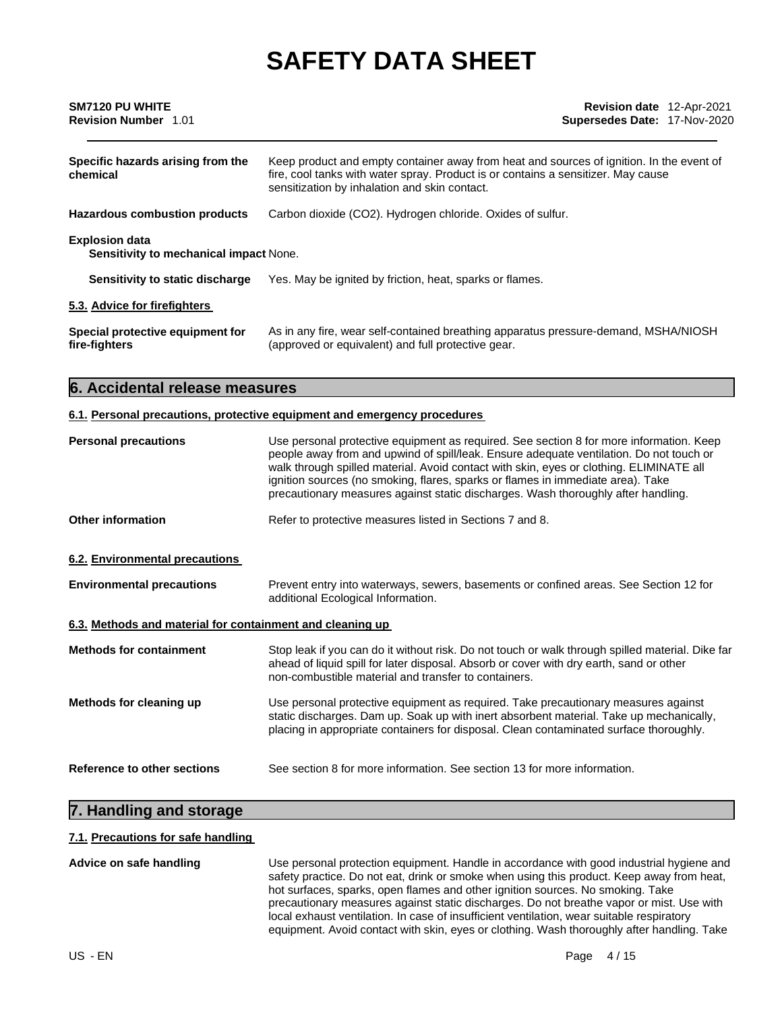| SM7120 PU WHITE<br><b>Revision Number 1.01</b>                         | <b>Revision date</b> 12-Apr-2021<br>Supersedes Date: 17-Nov-2020                                                                                                                                                               |  |
|------------------------------------------------------------------------|--------------------------------------------------------------------------------------------------------------------------------------------------------------------------------------------------------------------------------|--|
| Specific hazards arising from the<br>chemical                          | Keep product and empty container away from heat and sources of ignition. In the event of<br>fire, cool tanks with water spray. Product is or contains a sensitizer. May cause<br>sensitization by inhalation and skin contact. |  |
| <b>Hazardous combustion products</b>                                   | Carbon dioxide (CO2). Hydrogen chloride. Oxides of sulfur.                                                                                                                                                                     |  |
| <b>Explosion data</b><br><b>Sensitivity to mechanical impact None.</b> |                                                                                                                                                                                                                                |  |
| Sensitivity to static discharge                                        | Yes. May be ignited by friction, heat, sparks or flames.                                                                                                                                                                       |  |
| 5.3. Advice for firefighters                                           |                                                                                                                                                                                                                                |  |
| Special protective equipment for<br>fire-fighters                      | As in any fire, wear self-contained breathing apparatus pressure-demand, MSHA/NIOSH<br>(approved or equivalent) and full protective gear.                                                                                      |  |

#### **6. Accidental release measures**

#### **6.1. Personal precautions, protective equipment and emergency procedures**

| <b>Personal precautions</b>                               | Use personal protective equipment as required. See section 8 for more information. Keep<br>people away from and upwind of spill/leak. Ensure adequate ventilation. Do not touch or<br>walk through spilled material. Avoid contact with skin, eyes or clothing. ELIMINATE all<br>ignition sources (no smoking, flares, sparks or flames in immediate area). Take<br>precautionary measures against static discharges. Wash thoroughly after handling. |  |  |
|-----------------------------------------------------------|-------------------------------------------------------------------------------------------------------------------------------------------------------------------------------------------------------------------------------------------------------------------------------------------------------------------------------------------------------------------------------------------------------------------------------------------------------|--|--|
| <b>Other information</b>                                  | Refer to protective measures listed in Sections 7 and 8.                                                                                                                                                                                                                                                                                                                                                                                              |  |  |
| 6.2. Environmental precautions                            |                                                                                                                                                                                                                                                                                                                                                                                                                                                       |  |  |
| <b>Environmental precautions</b>                          | Prevent entry into waterways, sewers, basements or confined areas. See Section 12 for<br>additional Ecological Information.                                                                                                                                                                                                                                                                                                                           |  |  |
| 6.3. Methods and material for containment and cleaning up |                                                                                                                                                                                                                                                                                                                                                                                                                                                       |  |  |
| <b>Methods for containment</b>                            | Stop leak if you can do it without risk. Do not touch or walk through spilled material. Dike far<br>ahead of liquid spill for later disposal. Absorb or cover with dry earth, sand or other<br>non-combustible material and transfer to containers.                                                                                                                                                                                                   |  |  |
| Methods for cleaning up                                   | Use personal protective equipment as required. Take precautionary measures against<br>static discharges. Dam up. Soak up with inert absorbent material. Take up mechanically,<br>placing in appropriate containers for disposal. Clean contaminated surface thoroughly.                                                                                                                                                                               |  |  |
| Reference to other sections                               | See section 8 for more information. See section 13 for more information.                                                                                                                                                                                                                                                                                                                                                                              |  |  |

### **7. Handling and storage**

#### **7.1. Precautions for safe handling**

**Advice on safe handling** Use personal protection equipment. Handle in accordance with good industrial hygiene and safety practice. Do not eat, drink or smoke when using this product. Keep away from heat, hot surfaces, sparks, open flames and other ignition sources. No smoking. Take precautionary measures against static discharges. Do not breathe vapor or mist. Use with local exhaust ventilation. In case of insufficient ventilation, wear suitable respiratory equipment. Avoid contact with skin, eyes or clothing. Wash thoroughly after handling. Take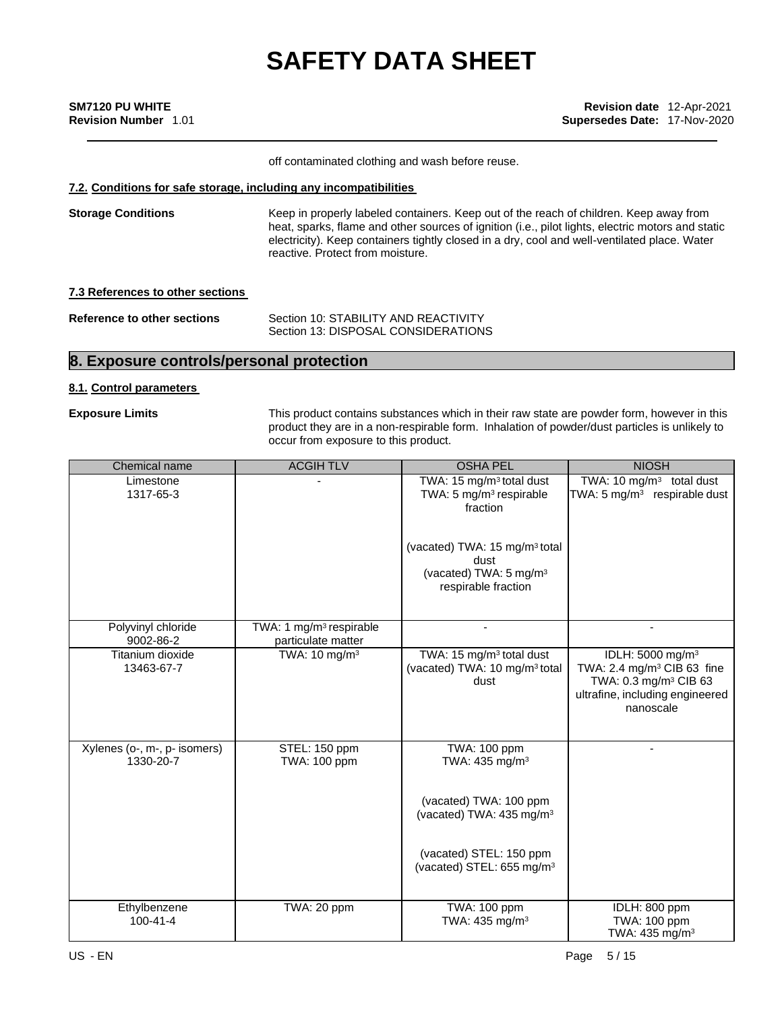| <b>SM7120 PU WHITE</b>      |  |
|-----------------------------|--|
| <b>Revision Number 1.01</b> |  |

**SM7120 PU WHITE Revision date** 12-Apr-2021 **Revision Number** 1.01 **Supersedes Date:** 17-Nov-2020

off contaminated clothing and wash before reuse.

#### **7.2. Conditions for safe storage, including any incompatibilities**

**Storage Conditions** Keep in properly labeled containers. Keep out of the reach of children. Keep away from heat, sparks, flame and other sources of ignition (i.e., pilot lights, electric motors and static electricity). Keep containers tightly closed in a dry, cool and well-ventilated place. Water reactive. Protect from moisture.

**7.3 References to other sections**

| Reference to other sections | Section 10: STABILITY AND REACTIVITY |  |
|-----------------------------|--------------------------------------|--|
|                             | Section 13: DISPOSAL CONSIDERATIONS  |  |

#### **8. Exposure controls/personal protection**

#### **8.1. Control parameters**

**Exposure Limits** This product contains substances which in their raw state are powder form, however in this product they are in a non-respirable form. Inhalation of powder/dust particles is unlikely to occur from exposure to this product.

| Chemical name                             | <b>ACGIHTLV</b>                                           | <b>OSHA PEL</b>                                                                                                | <b>NIOSH</b>                                                                                                                                                |
|-------------------------------------------|-----------------------------------------------------------|----------------------------------------------------------------------------------------------------------------|-------------------------------------------------------------------------------------------------------------------------------------------------------------|
| Limestone<br>1317-65-3                    |                                                           | TWA: 15 mg/m <sup>3</sup> total dust<br>TWA: 5 mg/m <sup>3</sup> respirable<br>fraction                        | TWA: 10 mg/m <sup>3</sup> total dust<br>TWA: 5 mg/m <sup>3</sup> respirable dust                                                                            |
|                                           |                                                           | (vacated) TWA: 15 mg/m <sup>3</sup> total<br>dust<br>(vacated) TWA: 5 mg/m <sup>3</sup><br>respirable fraction |                                                                                                                                                             |
| Polyvinyl chloride<br>9002-86-2           | TWA: 1 mg/m <sup>3</sup> respirable<br>particulate matter |                                                                                                                | ٠                                                                                                                                                           |
| Titanium dioxide<br>13463-67-7            | TWA: 10 mg/m <sup>3</sup>                                 | TWA: 15 mg/m <sup>3</sup> total dust<br>(vacated) TWA: 10 mg/m <sup>3</sup> total<br>dust                      | IDLH: 5000 mg/m <sup>3</sup><br>TWA: 2.4 mg/m <sup>3</sup> CIB 63 fine<br>TWA: 0.3 mg/m <sup>3</sup> CIB 63<br>ultrafine, including engineered<br>nanoscale |
| Xylenes (o-, m-, p- isomers)<br>1330-20-7 | STEL: 150 ppm<br>TWA: 100 ppm                             | TWA: 100 ppm<br>TWA: 435 mg/m <sup>3</sup>                                                                     |                                                                                                                                                             |
|                                           |                                                           | (vacated) TWA: 100 ppm<br>(vacated) TWA: 435 mg/m <sup>3</sup>                                                 |                                                                                                                                                             |
|                                           |                                                           | (vacated) STEL: 150 ppm<br>(vacated) STEL: 655 mg/m <sup>3</sup>                                               |                                                                                                                                                             |
| Ethylbenzene<br>$100 - 41 - 4$            | TWA: 20 ppm                                               | TWA: 100 ppm<br>TWA: 435 mg/m <sup>3</sup>                                                                     | IDLH: 800 ppm<br>TWA: 100 ppm<br>TWA: 435 mg/m <sup>3</sup>                                                                                                 |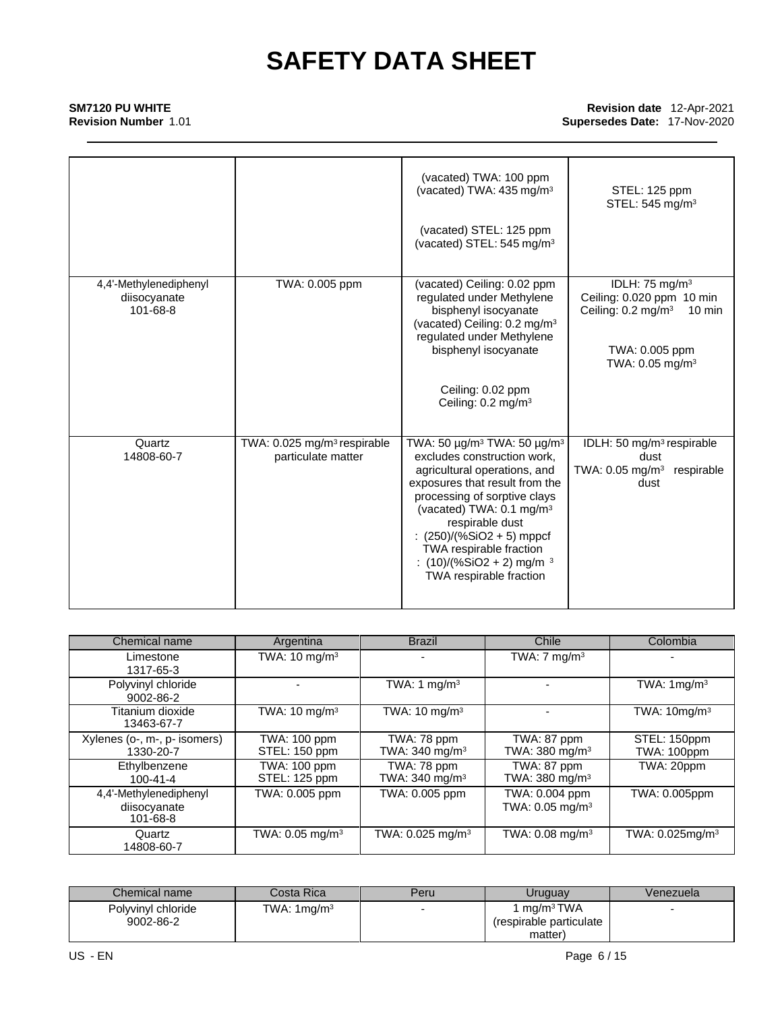### **SM7120 PU WHITE**

**Revision Number** 1.01

#### **Revision date** 12-Apr-2021 **Supersedes Date:** 17-Nov-2020

|                                                    |                                                               | (vacated) TWA: 100 ppm<br>(vacated) TWA: 435 mg/m <sup>3</sup>                                                                                                                                                                                                                                                                                                                 | STEL: 125 ppm<br>STEL: 545 mg/m <sup>3</sup>                                                                                                                    |
|----------------------------------------------------|---------------------------------------------------------------|--------------------------------------------------------------------------------------------------------------------------------------------------------------------------------------------------------------------------------------------------------------------------------------------------------------------------------------------------------------------------------|-----------------------------------------------------------------------------------------------------------------------------------------------------------------|
|                                                    |                                                               | (vacated) STEL: 125 ppm<br>(vacated) STEL: 545 mg/m <sup>3</sup>                                                                                                                                                                                                                                                                                                               |                                                                                                                                                                 |
| 4,4'-Methylenediphenyl<br>diisocyanate<br>101-68-8 | TWA: 0.005 ppm                                                | (vacated) Ceiling: 0.02 ppm<br>regulated under Methylene<br>bisphenyl isocyanate<br>(vacated) Ceiling: 0.2 mg/m <sup>3</sup><br>regulated under Methylene<br>bisphenyl isocyanate                                                                                                                                                                                              | IDLH: 75 mg/m <sup>3</sup><br>Ceiling: 0.020 ppm 10 min<br>Ceiling: $0.2 \text{ mg/m}^3$<br>$10 \text{ min}$<br>TWA: 0.005 ppm<br>TWA: $0.05$ mg/m <sup>3</sup> |
|                                                    |                                                               | Ceiling: 0.02 ppm<br>Ceiling: $0.2 \text{ mg/m}^3$                                                                                                                                                                                                                                                                                                                             |                                                                                                                                                                 |
| Quartz<br>14808-60-7                               | TWA: 0.025 mg/m <sup>3</sup> respirable<br>particulate matter | TWA: 50 μg/m <sup>3</sup> TWA: 50 μg/m <sup>3</sup><br>excludes construction work,<br>agricultural operations, and<br>exposures that result from the<br>processing of sorptive clays<br>(vacated) TWA: 0.1 mg/m <sup>3</sup><br>respirable dust<br>: $(250)/(%SiO2 + 5)$ mppcf<br>TWA respirable fraction<br>: $(10)/(%SiO2 + 2)$ mg/m <sup>3</sup><br>TWA respirable fraction | IDLH: 50 mg/m <sup>3</sup> respirable<br>dust<br>TWA: 0.05 mg/m <sup>3</sup><br>respirable<br>dust                                                              |

| Chemical name                                            | Argentina                            | <b>Brazil</b>                               | Chile                                         | Colombia                           |
|----------------------------------------------------------|--------------------------------------|---------------------------------------------|-----------------------------------------------|------------------------------------|
| Limestone<br>1317-65-3                                   | TWA: $10 \text{ mg/m}^3$             |                                             | TWA: $7 \text{ mg/m}^3$                       |                                    |
| Polyvinyl chloride<br>9002-86-2                          |                                      | TWA: 1 mg/m <sup>3</sup>                    |                                               | TWA: $1 \text{mq/m}^3$             |
| Titanium dioxide<br>13463-67-7                           | TWA: $10 \text{ mg/m}^3$             | TWA: $10 \text{ mg/m}^3$                    |                                               | TWA: 10mg/m <sup>3</sup>           |
| Xylenes (o-, m-, p- isomers)<br>1330-20-7                | <b>TWA: 100 ppm</b><br>STEL: 150 ppm | TWA: 78 ppm<br>TWA: $340$ mg/m <sup>3</sup> | TWA: 87 ppm<br>TWA: 380 mg/m <sup>3</sup>     | STEL: 150ppm<br><b>TWA: 100ppm</b> |
| Ethylbenzene<br>$100 - 41 - 4$                           | <b>TWA: 100 ppm</b><br>STEL: 125 ppm | TWA: 78 ppm<br>TWA: $340 \text{ mg/m}^3$    | TWA: 87 ppm<br>TWA: 380 mg/m <sup>3</sup>     | TWA: 20ppm                         |
| 4,4'-Methylenediphenyl<br>diisocyanate<br>$101 - 68 - 8$ | TWA: 0.005 ppm                       | TWA: 0.005 ppm                              | TWA: 0.004 ppm<br>TWA: 0.05 mg/m <sup>3</sup> | TWA: 0.005ppm                      |
| Quartz<br>14808-60-7                                     | TWA: $0.05$ mg/m <sup>3</sup>        | TWA: $0.025$ mg/m <sup>3</sup>              | TWA: $0.08$ mg/m <sup>3</sup>                 | TWA: $0.025$ mg/m <sup>3</sup>     |

| Chemical name                   | Costa Rical            | Peru | Uruguay                                             | Venezuela |
|---------------------------------|------------------------|------|-----------------------------------------------------|-----------|
| Polyvinyl chloride<br>9002-86-2 | TWA: $1 \text{mq/m}^3$ |      | 1 ma/m <sup>3</sup> TWA<br>(respirable particulate) |           |
|                                 |                        |      | matter)                                             |           |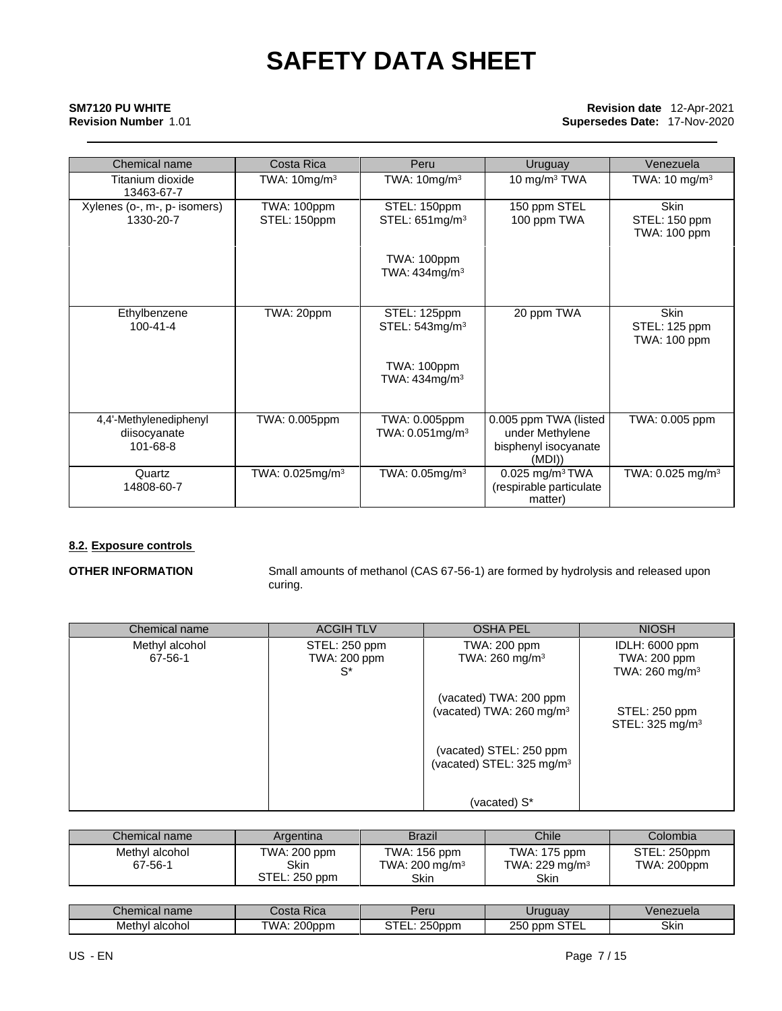#### **SM7120 PU WHITE Revision Number** 1.01

#### **Revision date** 12-Apr-2021 **Supersedes Date:** 17-Nov-2020

| Chemical name                                      | Costa Rica                  | Peru                                            | Uruguay                                                                   | Venezuela                                    |
|----------------------------------------------------|-----------------------------|-------------------------------------------------|---------------------------------------------------------------------------|----------------------------------------------|
| Titanium dioxide<br>13463-67-7                     | TWA: $10mg/m3$              | TWA: $10mg/m3$                                  | 10 mg/m <sup>3</sup> TWA                                                  | TWA: $10 \text{ mg/m}^3$                     |
| Xylenes (o-, m-, p- isomers)<br>1330-20-7          | TWA: 100ppm<br>STEL: 150ppm | STEL: 150ppm<br>STEL: 651mg/m <sup>3</sup>      | 150 ppm STEL<br>100 ppm TWA                                               | <b>Skin</b><br>STEL: 150 ppm<br>TWA: 100 ppm |
|                                                    |                             | TWA: 100ppm<br>TWA: $434$ mg/m $3$              |                                                                           |                                              |
| Ethylbenzene<br>$100 - 41 - 4$                     | TWA: 20ppm                  | STEL: 125ppm<br>STEL: $543$ mg/m $3$            | 20 ppm TWA                                                                | <b>Skin</b><br>STEL: 125 ppm<br>TWA: 100 ppm |
|                                                    |                             | TWA: 100ppm<br>TWA: $434$ mg/m $3$              |                                                                           |                                              |
| 4,4'-Methylenediphenyl<br>diisocyanate<br>101-68-8 | TWA: 0.005ppm               | TWA: 0.005ppm<br>TWA: $0.051$ mg/m <sup>3</sup> | 0.005 ppm TWA (listed<br>under Methylene<br>bisphenyl isocyanate<br>(MDI) | TWA: 0.005 ppm                               |
| Quartz<br>14808-60-7                               | TWA: 0.025mg/m <sup>3</sup> | TWA: $0.05$ mg/m $3$                            | $0.025$ mg/m <sup>3</sup> TWA<br>(respirable particulate<br>matter)       | TWA: $0.025$ mg/m <sup>3</sup>               |

### **8.2. Exposure controls**

**OTHER INFORMATION** Small amounts of methanol (CAS 67-56-1) are formed by hydrolysis and released upon curing.

| Chemical name             | <b>ACGIH TLV</b>                           | <b>OSHA PEL</b>                                                  | <b>NIOSH</b>                                                 |
|---------------------------|--------------------------------------------|------------------------------------------------------------------|--------------------------------------------------------------|
| Methyl alcohol<br>67-56-1 | STEL: 250 ppm<br><b>TWA: 200 ppm</b><br>S* | TWA: 200 ppm<br>TWA: 260 mg/m <sup>3</sup>                       | IDLH: 6000 ppm<br>TWA: 200 ppm<br>TWA: 260 mg/m <sup>3</sup> |
|                           |                                            | (vacated) TWA: 200 ppm<br>(vacated) TWA: 260 mg/m <sup>3</sup>   | STEL: 250 ppm<br>STEL: 325 mg/m <sup>3</sup>                 |
|                           |                                            | (vacated) STEL: 250 ppm<br>(vacated) STEL: 325 mg/m <sup>3</sup> |                                                              |
|                           |                                            | (vacated) S*                                                     |                                                              |

| Chemical name             | Argentina                                    | <b>Brazil</b>                                            | Chile                                              | Colombia                           |
|---------------------------|----------------------------------------------|----------------------------------------------------------|----------------------------------------------------|------------------------------------|
| Methyl alcohol<br>67-56-1 | TWA: 200 ppm<br><b>Skin</b><br>STEL: 250 ppm | TWA: 156 ppm<br>TWA: $200 \text{ mg/m}^3$<br><b>Skin</b> | TWA: 175 ppm<br>TWA: 229 mg/m <sup>3</sup><br>Skin | STEL: 250ppm<br><b>TWA: 200ppm</b> |

| name<br>Chemical          | -<br>Costa<br>Kica | Peru      | <i>Iruguay</i>                    | /enezuela |
|---------------------------|--------------------|-----------|-----------------------------------|-----------|
| Meth'<br>alcohol<br>. 177 | TWA<br>$200$ ppm   | $250$ ppm | $- - -$<br>つよへ<br>nnm<br>∠ບບ<br>. | Skin      |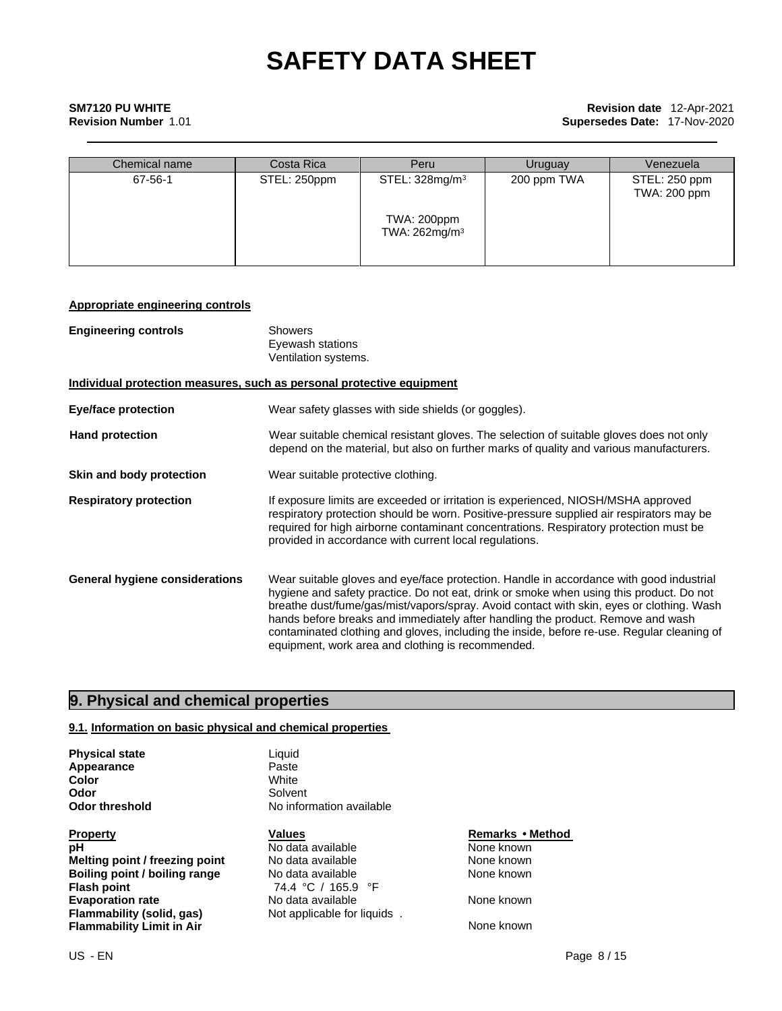## **SM7120 PU WHITE**

### **Revision Number** 1.01

#### **Revision date** 12-Apr-2021 **Supersedes Date:** 17-Nov-2020

| Chemical name | Costa Rica   | Peru                                     | Uruguay     | Venezuela                     |
|---------------|--------------|------------------------------------------|-------------|-------------------------------|
| 67-56-1       | STEL: 250ppm | STEL: 328mg/m <sup>3</sup>               | 200 ppm TWA | STEL: 250 ppm<br>TWA: 200 ppm |
|               |              | TWA: 200ppm<br>TWA: 262mg/m <sup>3</sup> |             |                               |

#### **Appropriate engineering controls**

| <b>Engineering controls</b>    | Showers<br>Eyewash stations<br>Ventilation systems.                                                                                                                                                                                                                                                                                                                                                                                                                                                                  |
|--------------------------------|----------------------------------------------------------------------------------------------------------------------------------------------------------------------------------------------------------------------------------------------------------------------------------------------------------------------------------------------------------------------------------------------------------------------------------------------------------------------------------------------------------------------|
|                                | Individual protection measures, such as personal protective equipment                                                                                                                                                                                                                                                                                                                                                                                                                                                |
| Eye/face protection            | Wear safety glasses with side shields (or goggles).                                                                                                                                                                                                                                                                                                                                                                                                                                                                  |
| <b>Hand protection</b>         | Wear suitable chemical resistant gloves. The selection of suitable gloves does not only<br>depend on the material, but also on further marks of quality and various manufacturers.                                                                                                                                                                                                                                                                                                                                   |
| Skin and body protection       | Wear suitable protective clothing.                                                                                                                                                                                                                                                                                                                                                                                                                                                                                   |
| <b>Respiratory protection</b>  | If exposure limits are exceeded or irritation is experienced, NIOSH/MSHA approved<br>respiratory protection should be worn. Positive-pressure supplied air respirators may be<br>required for high airborne contaminant concentrations. Respiratory protection must be<br>provided in accordance with current local regulations.                                                                                                                                                                                     |
| General hygiene considerations | Wear suitable gloves and eye/face protection. Handle in accordance with good industrial<br>hygiene and safety practice. Do not eat, drink or smoke when using this product. Do not<br>breathe dust/fume/gas/mist/vapors/spray. Avoid contact with skin, eyes or clothing. Wash<br>hands before breaks and immediately after handling the product. Remove and wash<br>contaminated clothing and gloves, including the inside, before re-use. Regular cleaning of<br>equipment, work area and clothing is recommended. |

### **9. Physical and chemical properties**

#### **9.1. Information on basic physical and chemical properties**

**Physical state** Liquid<br> **Appearance** Liquid Paste **Appearance** Paste<br> **Color** White **Color**<br>Odor

**Property CONSERVITY CONSERVITY IS A PROPERTY CONSERVANCE CONSERVANCE PROPERTY REMARKS • Method<br>
<b>PH Remarks** • Modata available **Remarks** • Mone known **Melting point / freezing point** No data available None known<br> **Boiling point / boiling range** No data available None known **Boiling point / boiling range<br>Flash point Evaporation rate Reset Cone Access Modata available Reset Cone Known**<br> **Flammability (solid, gas)** Not applicable for liquids . **Flammability Limit in Air None known** None known

**Solvent Odor threshold** No information available

> **PH** No data available **None known**<br>
> No data available None known **Flash point** 74.4 °C / 165.9 °F **Not applicable for liquids**.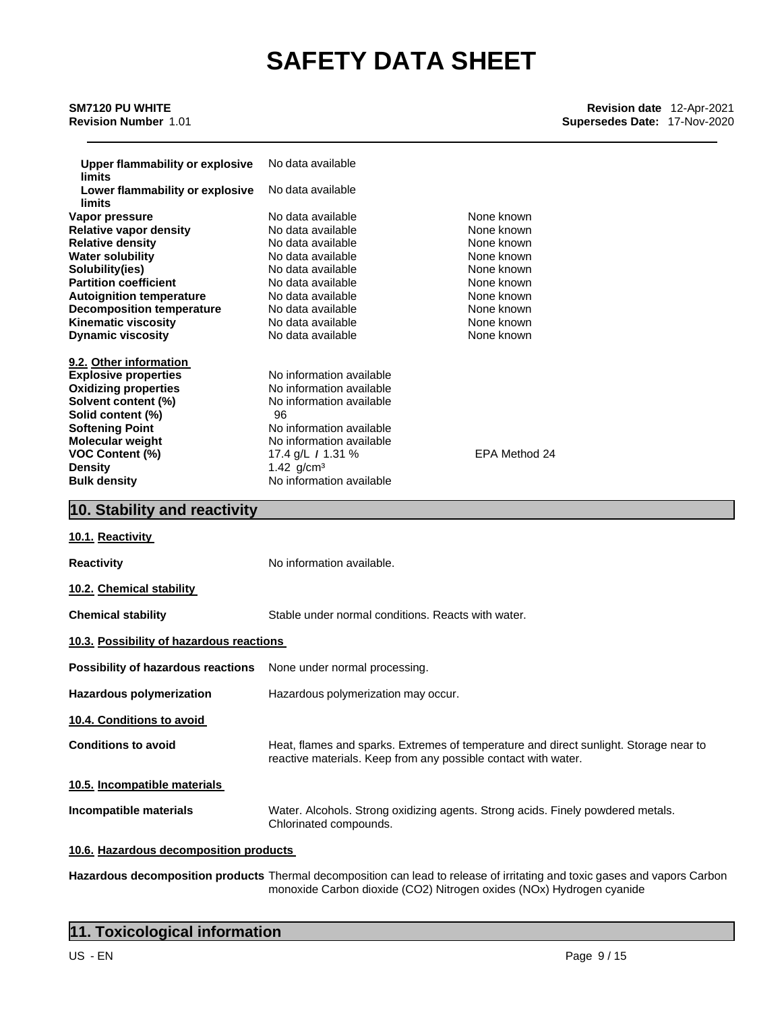#### **SM7120 PU WHITE Revision Number** 1.01

| <b>Upper flammability or explosive</b><br>limits | No data available        |               |
|--------------------------------------------------|--------------------------|---------------|
| Lower flammability or explosive                  | No data available        |               |
| limits                                           |                          |               |
| Vapor pressure                                   | No data available        | None known    |
| <b>Relative vapor density</b>                    | No data available        | None known    |
| <b>Relative density</b>                          | No data available        | None known    |
| <b>Water solubility</b>                          | No data available        | None known    |
| Solubility(ies)                                  | No data available        | None known    |
| <b>Partition coefficient</b>                     | No data available        | None known    |
| <b>Autoignition temperature</b>                  | No data available        | None known    |
| <b>Decomposition temperature</b>                 | No data available        | None known    |
| <b>Kinematic viscosity</b>                       | No data available        | None known    |
| <b>Dynamic viscosity</b>                         | No data available        | None known    |
|                                                  |                          |               |
| 9.2. Other information                           |                          |               |
| <b>Explosive properties</b>                      | No information available |               |
| <b>Oxidizing properties</b>                      | No information available |               |
| Solvent content (%)                              | No information available |               |
| Solid content (%)                                | 96                       |               |
| <b>Softening Point</b>                           | No information available |               |
| <b>Molecular weight</b>                          | No information available |               |
| <b>VOC Content (%)</b>                           | 17.4 g/L $\prime$ 1.31 % | EPA Method 24 |
| <b>Density</b>                                   | 1.42 $g/cm^{3}$          |               |
| <b>Bulk density</b>                              | No information available |               |
|                                                  |                          |               |
| 10. Stability and reactivity                     |                          |               |
|                                                  |                          |               |

### **10.1. Reactivity Reactivity No information available. 10.2. Chemical stability Chemical stability** Stable under normal conditions. Reacts with water. **10.3. Possibility of hazardous reactions Possibility of hazardous reactions** None under normal processing. **Hazardous polymerization** Hazardous polymerization may occur. **10.4. Conditions to avoid Conditions to avoid** Heat, flames and sparks. Extremes of temperature and direct sunlight. Storage near to reactive materials. Keep from any possible contact with water. **10.5. Incompatible materials Incompatible materials** Water. Alcohols. Strong oxidizing agents. Strong acids. Finely powdered metals. Chlorinated compounds. **10.6. Hazardous decomposition products**

**Hazardous decomposition products** Thermal decomposition can lead to release of irritating and toxic gases and vapors Carbon monoxide Carbon dioxide (CO2) Nitrogen oxides (NOx) Hydrogen cyanide

| 11. Toxicological information |  |
|-------------------------------|--|
|-------------------------------|--|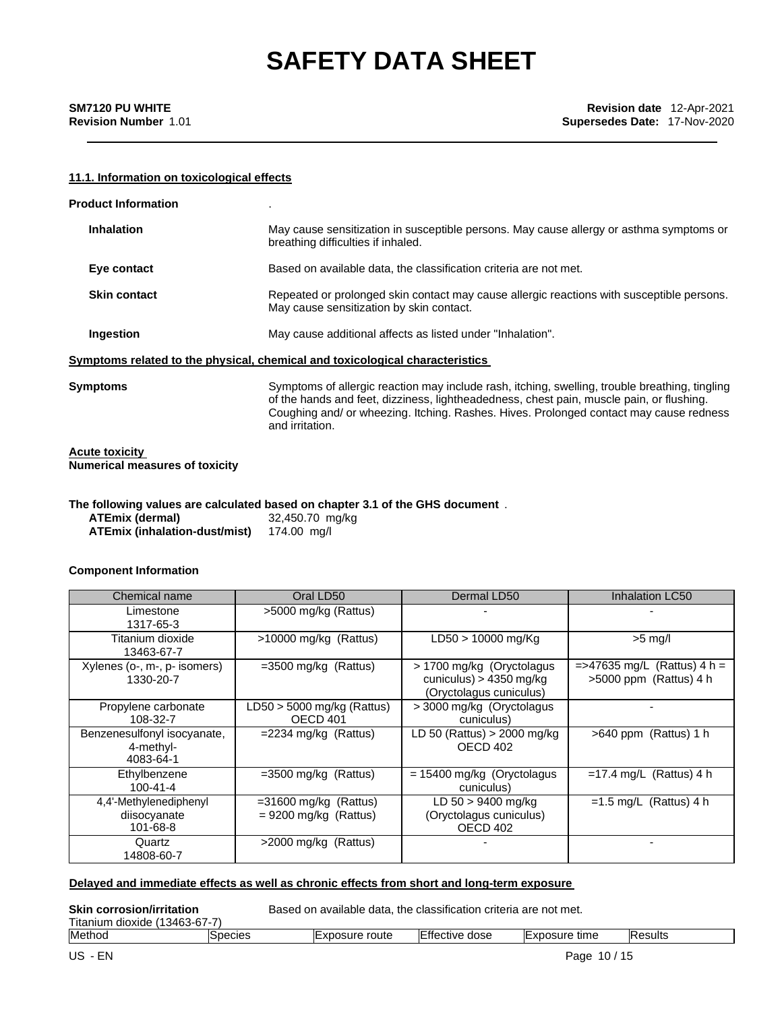#### **11.1. Information on toxicological effects**

| <b>Product Information</b>                              |                                                                                                                                                                                                                                                                                                         |
|---------------------------------------------------------|---------------------------------------------------------------------------------------------------------------------------------------------------------------------------------------------------------------------------------------------------------------------------------------------------------|
| <b>Inhalation</b>                                       | May cause sensitization in susceptible persons. May cause allergy or asthma symptoms or<br>breathing difficulties if inhaled.                                                                                                                                                                           |
| Eye contact                                             | Based on available data, the classification criteria are not met.                                                                                                                                                                                                                                       |
| <b>Skin contact</b>                                     | Repeated or prolonged skin contact may cause allergic reactions with susceptible persons.<br>May cause sensitization by skin contact.                                                                                                                                                                   |
| Ingestion                                               | May cause additional affects as listed under "Inhalation".                                                                                                                                                                                                                                              |
|                                                         | <u>Symptoms related to the physical, chemical and toxicological characteristics</u>                                                                                                                                                                                                                     |
| Symptoms                                                | Symptoms of allergic reaction may include rash, itching, swelling, trouble breathing, tingling<br>of the hands and feet, dizziness, lightheadedness, chest pain, muscle pain, or flushing.<br>Coughing and/ or wheezing. Itching. Rashes. Hives. Prolonged contact may cause redness<br>and irritation. |
| Acute toxicity<br><b>Numerical measures of toxicity</b> |                                                                                                                                                                                                                                                                                                         |
| <b>ATEmix (dermal)</b><br>ATEmix (inhalation-dust/mist) | The following values are calculated based on chapter 3.1 of the GHS document $% \mathcal{M}$ .<br>32,450.70 mg/kg<br>174.00 mg/l                                                                                                                                                                        |

#### **Component Information**

| Chemical name                                         | Oral LD50                                           | Dermal LD50                                                                     | Inhalation LC50                                            |
|-------------------------------------------------------|-----------------------------------------------------|---------------------------------------------------------------------------------|------------------------------------------------------------|
| Limestone<br>1317-65-3                                | >5000 mg/kg (Rattus)                                |                                                                                 |                                                            |
| Titanium dioxide<br>13463-67-7                        | >10000 mg/kg (Rattus)                               | LD50 > 10000 mg/Kg                                                              | $>5$ mg/l                                                  |
| Xylenes (o-, m-, p- isomers)<br>1330-20-7             | $=3500$ mg/kg (Rattus)                              | > 1700 mg/kg (Oryctolagus<br>cuniculus) > 4350 mg/kg<br>(Oryctolagus cuniculus) | $=$ >47635 mg/L (Rattus) 4 h =<br>$>5000$ ppm (Rattus) 4 h |
| Propylene carbonate<br>108-32-7                       | $LD50 > 5000$ mg/kg (Rattus)<br>OECD <sub>401</sub> | > 3000 mg/kg (Oryctolagus)<br>cuniculus)                                        |                                                            |
| Benzenesulfonyl isocyanate,<br>4-methyl-<br>4083-64-1 | $=$ 2234 mg/kg (Rattus)                             | LD 50 (Rattus) $>$ 2000 mg/kg<br>OECD 402                                       | $>640$ ppm (Rattus) 1 h                                    |
| Ethylbenzene<br>$100 - 41 - 4$                        | $=3500$ mg/kg (Rattus)                              | $= 15400$ mg/kg (Oryctolagus<br>cuniculus)                                      | $=17.4$ mg/L (Rattus) 4 h                                  |
| 4,4'-Methylenediphenyl<br>diisocyanate<br>101-68-8    | $=$ 31600 mg/kg (Rattus)<br>$= 9200$ mg/kg (Rattus) | $LD 50 > 9400$ mg/kg<br>(Oryctolagus cuniculus)<br>OECD 402                     | $=1.5$ mg/L (Rattus) 4 h                                   |
| Quartz<br>14808-60-7                                  | $>$ 2000 mg/kg (Rattus)                             |                                                                                 |                                                            |

#### **Delayed and immediate effects as well as chronic effects from short and long-term exposure**

**Skin corrosion/irritation** Based on available data, the classification criteria are not met.

| ÷.<br>$\sim$<br>3463<br>Titanium dioxide t<br>.ס-כ | -                       |                              |                         |                 |                 |
|----------------------------------------------------|-------------------------|------------------------------|-------------------------|-----------------|-----------------|
| Method                                             | <b>Decles</b><br>$\sim$ | route<br>-xposure<br>$-1010$ | dose<br>tective<br>ום ו | time<br>xposure | <b>IResults</b> |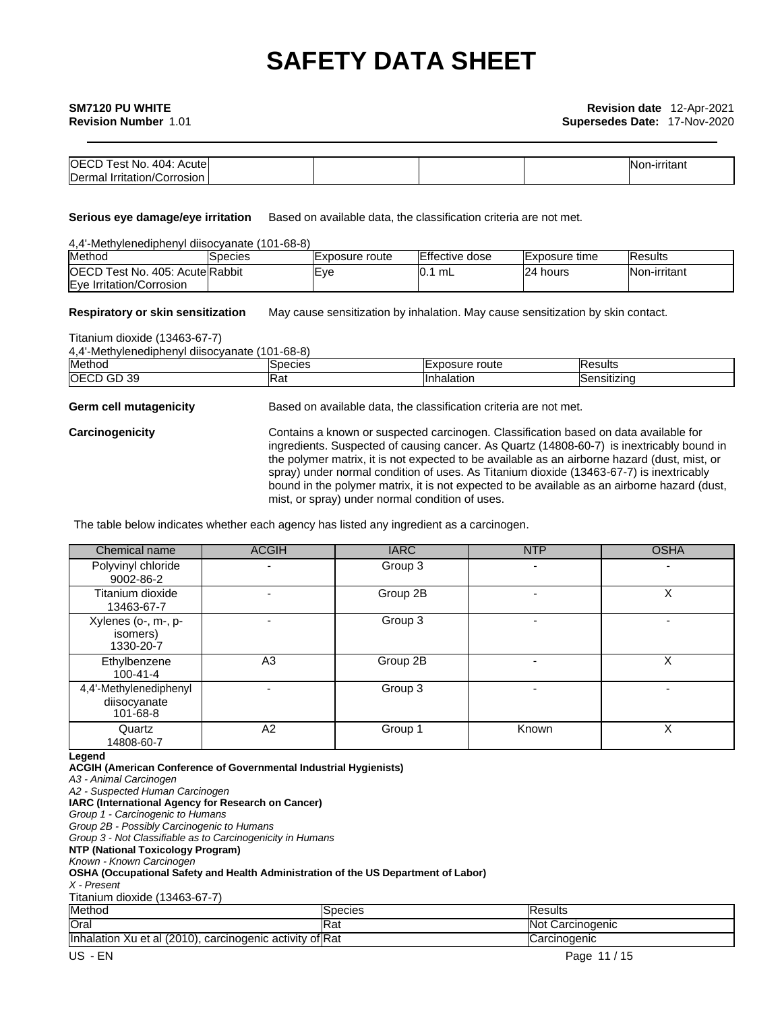#### **SM7120 PU WHITE**

| <b>OECD</b><br>404 <sup>.</sup><br>Acute<br>i est<br>NO. |  |  | <b>INon-irritant</b> |
|----------------------------------------------------------|--|--|----------------------|
| Dermal<br>⊟rritation/Corrosion                           |  |  |                      |

**Serious eye damage/eye irritation** Based on available data, the classification criteria are not met.

| 4.4'-Methylenediphenyl diisocyanate (101-68-8) |                |                 |                        |                |                 |
|------------------------------------------------|----------------|-----------------|------------------------|----------------|-----------------|
| Method                                         | <b>Species</b> | IExposure route | <b>IEffective dose</b> | IExposure time | <b>IResults</b> |
| <b>OECD Test No. 405: Acute Rabbit</b>         |                | Eve             | 0.1 mL                 | 24 hours       | Non-irritant    |
| Eye Irritation/Corrosion                       |                |                 |                        |                |                 |

**Respiratory or skin sensitization** May cause sensitization by inhalation. May cause sensitization by skin contact.

Titanium dioxide (13463-67-7)

4,4'-Methylenediphenyl diisocyanate (101-68-8)

| Method               | ISpecies | route<br>osure<br>IE.<br>.<br>^'' | ΙF<br>esults        |
|----------------------|----------|-----------------------------------|---------------------|
| <b>OECD</b><br>GD 39 | na.      | Inhalation                        | <b>ISensitizing</b> |

**Germ cell mutagenicity** Based on available data, the classification criteria are not met.

**Carcinogenicity** Contains a known or suspected carcinogen. Classification based on data available for ingredients. Suspected of causing cancer. As Quartz (14808-60-7) is inextricably bound in the polymer matrix, it is not expected to be available as an airborne hazard (dust, mist, or spray) under normal condition of uses. As Titanium dioxide (13463-67-7) is inextricably bound in the polymer matrix, it is not expected to be available as an airborne hazard (dust, mist, or spray) under normal condition of uses.

The table below indicates whether each agency has listed any ingredient as a carcinogen.

| Chemical name                                                                                                                                                                                               | <b>ACGIH</b>                                                             | <b>IARC</b> | <b>NTP</b>     | <b>OSHA</b> |
|-------------------------------------------------------------------------------------------------------------------------------------------------------------------------------------------------------------|--------------------------------------------------------------------------|-------------|----------------|-------------|
| Polyvinyl chloride<br>9002-86-2                                                                                                                                                                             |                                                                          | Group 3     | ٠              |             |
| Titanium dioxide<br>13463-67-7                                                                                                                                                                              |                                                                          | Group 2B    | -              | X           |
| Xylenes (o-, m-, p-<br>isomers)<br>1330-20-7                                                                                                                                                                |                                                                          | Group 3     | $\blacksquare$ |             |
| Ethylbenzene<br>$100 - 41 - 4$                                                                                                                                                                              | A <sub>3</sub>                                                           | Group 2B    |                | X           |
| 4,4'-Methylenediphenyl<br>diisocyanate<br>$101 - 68 - 8$                                                                                                                                                    | $\blacksquare$                                                           | Group 3     | ٠              |             |
| Quartz<br>14808-60-7                                                                                                                                                                                        | A2                                                                       | Group 1     | Known          | X           |
| Legend<br>A3 - Animal Carcinogen<br>A2 - Suspected Human Carcinogen<br>IARC (International Agency for Research on Cancer)<br>Group 1 - Carcinogenic to Humans<br>Crown 2D. Bossibly Corpinagenia to Ulumana | <b>ACGIH (American Conference of Governmental Industrial Hygienists)</b> |             |                |             |

*Group 2B - Possibly Carcinogenic to Humans Group 3 - Not Classifiable as to Carcinogenicity in Humans*

**NTP (National Toxicology Program)**

*Known - Known Carcinogen*

**OSHA (Occupational Safety and Health Administration of the US Department of Labor)**

*X - Present*

Titanium dioxide (13463-67-7)

| Method                                                                                              | Species    | <b>IResults</b>            |
|-----------------------------------------------------------------------------------------------------|------------|----------------------------|
| Oral                                                                                                | <b>Rat</b> | Carcinogenic<br><b>Not</b> |
| tet al (2010)<br><b>Inhalation</b><br>carcinogenic activity of Rat<br>$\mathsf{v} \cdot$<br>ΛU<br>◡ |            | <b>ICarcinogenic</b>       |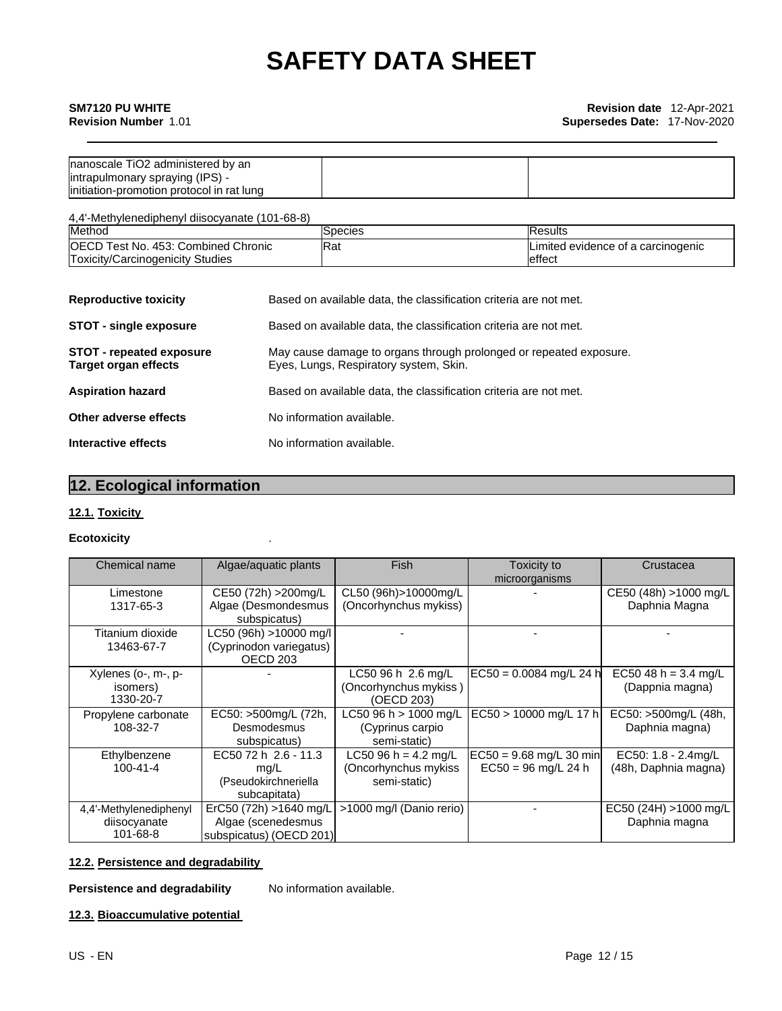### **SM7120 PU WHITE**

**Revision Number** 1.01

| Inanoscale TiO2 administered by an         |  |
|--------------------------------------------|--|
| intrapulmonary spraying (IPS) -            |  |
| linitiation-promotion protocol in rat lung |  |

4,4'-Methylenediphenyl diisocyanate (101-68-8)

| Method                                                    | ISpecies | <b>Results</b>                     |
|-----------------------------------------------------------|----------|------------------------------------|
| <b>OECD T</b><br>l Chronic<br>Test No.<br>. 453: Combined | Rat      | Limited evidence of a carcinogenic |
| Toxicity/Carcinogenicity Studies                          |          | leffect                            |

| <b>Reproductive toxicity</b>                                   | Based on available data, the classification criteria are not met.                                            |
|----------------------------------------------------------------|--------------------------------------------------------------------------------------------------------------|
| <b>STOT - single exposure</b>                                  | Based on available data, the classification criteria are not met.                                            |
| <b>STOT - repeated exposure</b><br><b>Target organ effects</b> | May cause damage to organs through prolonged or repeated exposure.<br>Eyes, Lungs, Respiratory system, Skin. |
| <b>Aspiration hazard</b>                                       | Based on available data, the classification criteria are not met.                                            |
| Other adverse effects                                          | No information available.                                                                                    |
| Interactive effects                                            | No information available.                                                                                    |

### **12. Ecological information**

### **12.1. Toxicity**

#### **Ecotoxicity** .

| Chemical name                                      | Algae/aquatic plants                                                     | Fish                                                         | Toxicity to<br>microorganisms                      | Crustacea                                   |
|----------------------------------------------------|--------------------------------------------------------------------------|--------------------------------------------------------------|----------------------------------------------------|---------------------------------------------|
| Limestone<br>1317-65-3                             | CE50 (72h) > 200mg/L<br>Algae (Desmondesmus<br>subspicatus)              | CL50 (96h)>10000mg/L<br>(Oncorhynchus mykiss)                |                                                    | CE50 (48h) >1000 mg/L<br>Daphnia Magna      |
| Titanium dioxide<br>13463-67-7                     | LC50 (96h) >10000 mg/l<br>(Cyprinodon variegatus)<br>OECD <sub>203</sub> |                                                              |                                                    |                                             |
| Xylenes (o-, m-, p-<br>isomers)<br>1330-20-7       |                                                                          | LC50 96 h 2.6 mg/L<br>(Oncorhynchus mykiss )<br>(OECD 203)   | $EC50 = 0.0084$ mg/L 24 h                          | EC50 48 h = $3.4$ mg/L<br>(Dappnia magna)   |
| Propylene carbonate<br>108-32-7                    | EC50: >500mg/L (72h,<br>Desmodesmus<br>subspicatus)                      | LC50 96 h > 1000 mg/L<br>(Cyprinus carpio<br>semi-static)    | EC50 > 10000 mg/L 17 h                             | EC50: >500mg/L (48h,<br>Daphnia magna)      |
| Ethylbenzene<br>$100 - 41 - 4$                     | EC50 72 h 2.6 - 11.3<br>mq/L<br>(Pseudokirchneriella<br>subcapitata)     | LC50 96 h = 4.2 mg/L<br>(Oncorhynchus mykiss<br>semi-static) | $EC50 = 9.68$ mg/L 30 min<br>$EC50 = 96$ mg/L 24 h | EC50: 1.8 - 2.4mg/L<br>(48h, Daphnia magna) |
| 4,4'-Methylenediphenyl<br>diisocyanate<br>101-68-8 | ErC50 (72h) >1640 mg/L<br>Algae (scenedesmus<br>subspicatus) (OECD 201)  | >1000 mg/l (Danio rerio)                                     |                                                    | EC50 (24H) >1000 mg/L<br>Daphnia magna      |

#### **12.2. Persistence and degradability**

#### **Persistence and degradability** No information available.

#### **12.3. Bioaccumulative potential**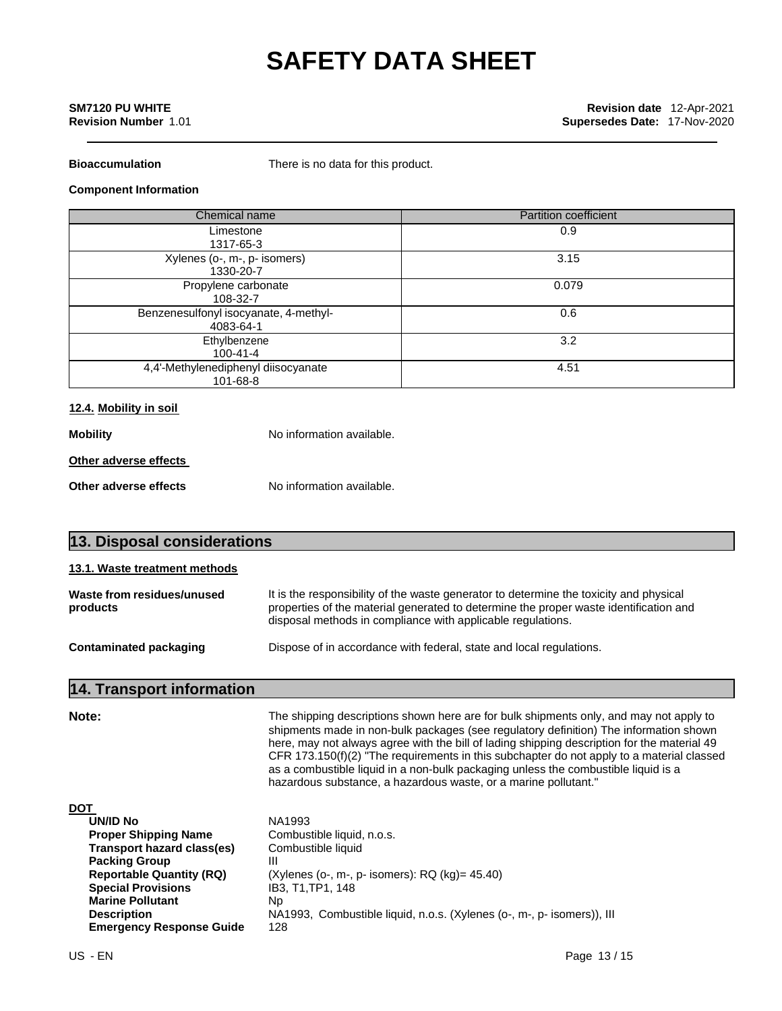#### **SM7120 PU WHITE Revision Number** 1.01

**Bioaccumulation** There is no data for this product.

#### **Component Information**

| Chemical name                                      | <b>Partition coefficient</b> |
|----------------------------------------------------|------------------------------|
| Limestone<br>1317-65-3                             | 0.9                          |
| Xylenes (o-, m-, p- isomers)<br>1330-20-7          | 3.15                         |
| Propylene carbonate<br>108-32-7                    | 0.079                        |
| Benzenesulfonyl isocyanate, 4-methyl-<br>4083-64-1 | 0.6                          |
| Ethylbenzene<br>$100 - 41 - 4$                     | 3.2                          |
| 4,4'-Methylenediphenyl diisocyanate<br>101-68-8    | 4.51                         |

#### **12.4. Mobility in soil**

| No information available. |  |  |
|---------------------------|--|--|
|                           |  |  |
| No information available. |  |  |
|                           |  |  |

| 13. Disposal considerations            |                                                                                                                                                                                                                                                |  |  |  |
|----------------------------------------|------------------------------------------------------------------------------------------------------------------------------------------------------------------------------------------------------------------------------------------------|--|--|--|
| 13.1. Waste treatment methods          |                                                                                                                                                                                                                                                |  |  |  |
| Waste from residues/unused<br>products | It is the responsibility of the waste generator to determine the toxicity and physical<br>properties of the material generated to determine the proper waste identification and<br>disposal methods in compliance with applicable regulations. |  |  |  |
| <b>Contaminated packaging</b>          | Dispose of in accordance with federal, state and local regulations.                                                                                                                                                                            |  |  |  |
|                                        |                                                                                                                                                                                                                                                |  |  |  |

### **14. Transport information**

**Note:** The shipping descriptions shown here are for bulk shipments only, and may not apply to shipments made in non-bulk packages (see regulatory definition) The information shown here, may not always agree with the bill of lading shipping description for the material 49 CFR 173.150(f)(2) "The requirements in this subchapter do not apply to a material classed as a combustible liquid in a non-bulk packaging unless the combustible liquid is a hazardous substance, a hazardous waste, or a marine pollutant."

**DOT** 

| <b>UN/ID No</b>                 | NA1993                                                                 |
|---------------------------------|------------------------------------------------------------------------|
| <b>Proper Shipping Name</b>     | Combustible liquid, n.o.s.                                             |
| Transport hazard class(es)      | Combustible liquid                                                     |
| <b>Packing Group</b>            | Ш                                                                      |
| <b>Reportable Quantity (RQ)</b> | (Xylenes (o-, m-, p- isomers): $RQ$ (kg)= 45.40)                       |
| <b>Special Provisions</b>       | IB3. T1.TP1. 148                                                       |
| <b>Marine Pollutant</b>         | Np                                                                     |
| <b>Description</b>              | NA1993, Combustible liquid, n.o.s. (Xylenes (o-, m-, p- isomers)), III |
| <b>Emergency Response Guide</b> | 128                                                                    |
|                                 |                                                                        |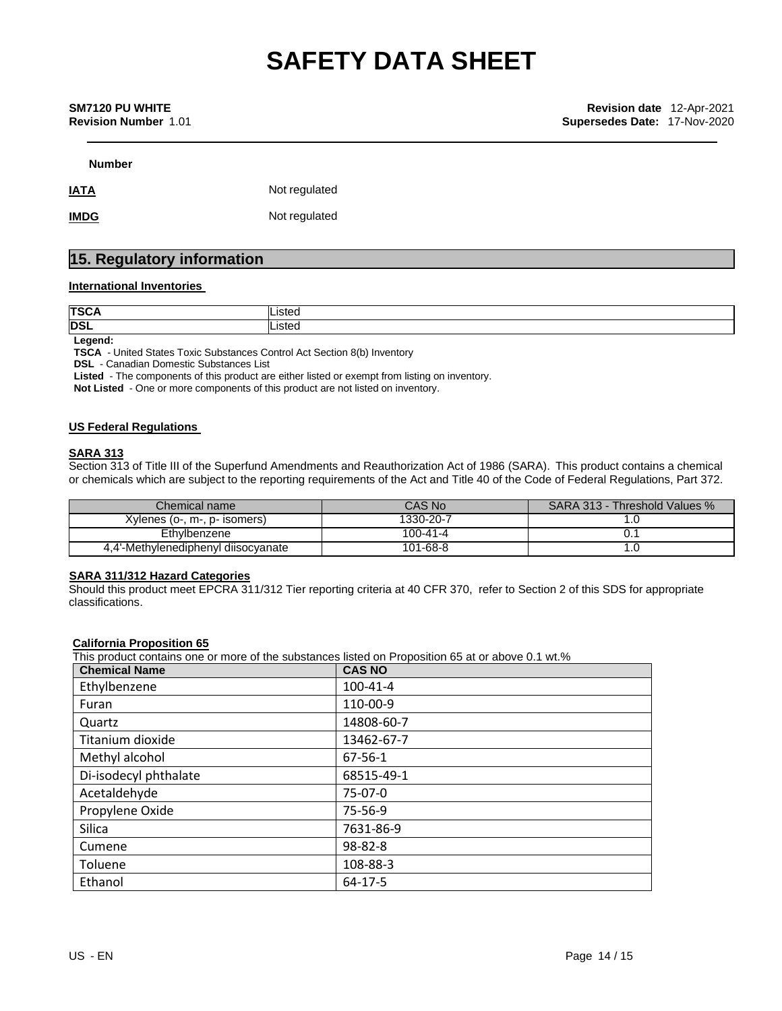#### **SM7120 PU WHITE Revision Number** 1.01

**Number**

**IATA** Not regulated

**IMDG** Not regulated

### **15. Regulatory information**

#### **International Inventories**

| <b>TSCA</b> | .isted |
|-------------|--------|
| <b>DSL</b>  | isted  |
| . .         |        |

**Legend:**

**TSCA** - United States Toxic Substances Control Act Section 8(b) Inventory

**DSL** - Canadian Domestic Substances List

**Listed** - The components of this product are either listed or exempt from listing on inventory.

**Not Listed** - One or more components of this product are not listed on inventory.

#### **US Federal Regulations**

#### **SARA 313**

Section 313 of Title III of the Superfund Amendments and Reauthorization Act of 1986 (SARA). This product contains a chemical or chemicals which are subject to the reporting requirements of the Act and Title 40 of the Code of Federal Regulations, Part 372.

| Chemical name                       | CAS No    | SARA 313 - Threshold Values % |
|-------------------------------------|-----------|-------------------------------|
| Xylenes (o-, m-, p- isomers)        | 1330-20-7 |                               |
| Ethylbenzene                        | 100-41-4  |                               |
| 4.4'-Methylenediphenyl diisocyanate | 101-68-8  |                               |

#### **SARA 311/312 Hazard Categories**

Should this product meet EPCRA 311/312 Tier reporting criteria at 40 CFR 370, refer to Section 2 of this SDS for appropriate classifications.

#### **California Proposition 65**

This product contains one or more of the substances listed on Proposition 65 at or above 0.1 wt.%

| <b>Chemical Name</b>  | <b>CAS NO</b> |
|-----------------------|---------------|
| Ethylbenzene          | 100-41-4      |
| Furan                 | 110-00-9      |
| Quartz                | 14808-60-7    |
| Titanium dioxide      | 13462-67-7    |
| Methyl alcohol        | 67-56-1       |
| Di-isodecyl phthalate | 68515-49-1    |
| Acetaldehyde          | 75-07-0       |
| Propylene Oxide       | 75-56-9       |
| Silica                | 7631-86-9     |
| Cumene                | 98-82-8       |
| Toluene               | 108-88-3      |
| Ethanol               | 64-17-5       |